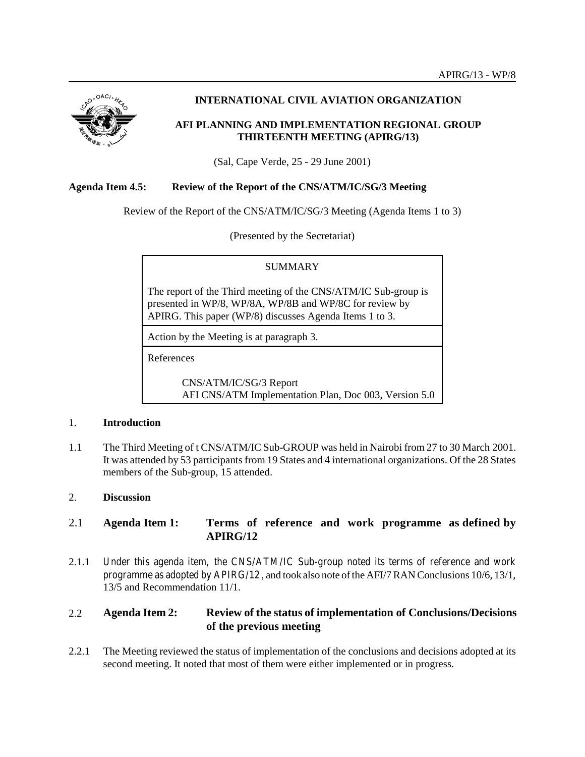

# **INTERNATIONAL CIVIL AVIATION ORGANIZATION**

## **AFI PLANNING AND IMPLEMENTATION REGIONAL GROUP THIRTEENTH MEETING (APIRG/13)**

(Sal, Cape Verde, 25 - 29 June 2001)

### **Agenda Item 4.5: Review of the Report of the CNS/ATM/IC/SG/3 Meeting**

Review of the Report of the CNS/ATM/IC/SG/3 Meeting (Agenda Items 1 to 3)

(Presented by the Secretariat)

#### **SUMMARY**

The report of the Third meeting of the CNS/ATM/IC Sub-group is presented in WP/8, WP/8A, WP/8B and WP/8C for review by APIRG. This paper (WP/8) discusses Agenda Items 1 to 3.

Action by the Meeting is at paragraph 3.

References

CNS/ATM/IC/SG/3 Report AFI CNS/ATM Implementation Plan, Doc 003, Version 5.0

### 1. **Introduction**

1.1 The Third Meeting of t CNS/ATM/IC Sub-GROUP was held in Nairobi from 27 to 30 March 2001. It was attended by 53 participants from 19 States and 4 international organizations. Of the 28 States members of the Sub-group, 15 attended.

### 2. **Discussion**

## 2.1 **Agenda Item 1: Terms of reference and work programme as defined by APIRG/12**

2.1.1 Under this agenda item, the CNS/ATM/IC Sub-group noted its terms of reference and work programme as adopted by APIRG/12 , and took also note of the AFI/7 RAN Conclusions 10/6, 13/1, 13/5 and Recommendation 11/1.

# 2.2 **Agenda Item 2: Review of the status of implementation of Conclusions/Decisions of the previous meeting**

2.2.1 The Meeting reviewed the status of implementation of the conclusions and decisions adopted at its second meeting. It noted that most of them were either implemented or in progress.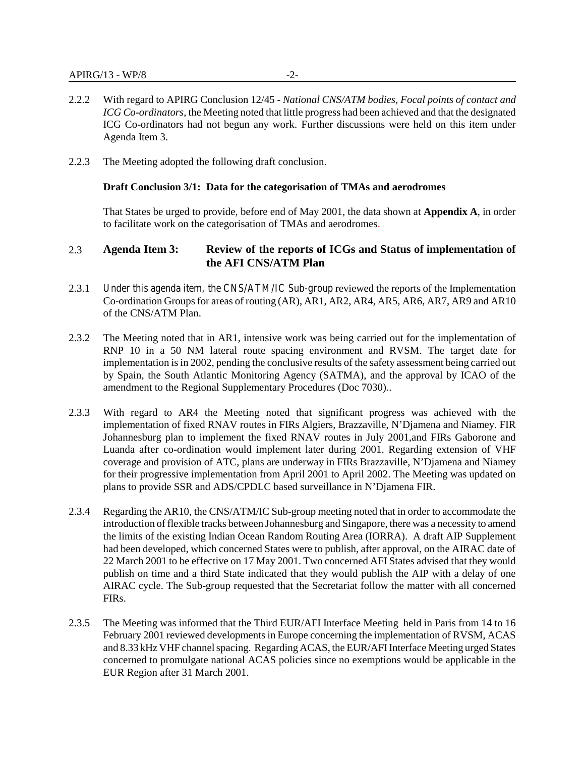- 2.2.2 With regard to APIRG Conclusion 12/45 *National CNS/ATM bodies, Focal points of contact and ICG Co-ordinators*, the Meeting noted that little progress had been achieved and that the designated ICG Co-ordinators had not begun any work. Further discussions were held on this item under Agenda Item 3.
- 2.2.3 The Meeting adopted the following draft conclusion.

#### **Draft Conclusion 3/1: Data for the categorisation of TMAs and aerodromes**

That States be urged to provide, before end of May 2001, the data shown at **Appendix A**, in order to facilitate work on the categorisation of TMAs and aerodromes.

## 2.3 **Agenda Item 3: Review of the reports of ICGs and Status of implementation of the AFI CNS/ATM Plan**

- 2.3.1 Under this agenda item, the CNS/ATM/IC Sub-group reviewed the reports of the Implementation Co-ordination Groups for areas of routing (AR), AR1, AR2, AR4, AR5, AR6, AR7, AR9 and AR10 of the CNS/ATM Plan.
- 2.3.2 The Meeting noted that in AR1, intensive work was being carried out for the implementation of RNP 10 in a 50 NM lateral route spacing environment and RVSM. The target date for implementation is in 2002, pending the conclusive results of the safety assessment being carried out by Spain, the South Atlantic Monitoring Agency (SATMA), and the approval by ICAO of the amendment to the Regional Supplementary Procedures (Doc 7030)..
- 2.3.3 With regard to AR4 the Meeting noted that significant progress was achieved with the implementation of fixed RNAV routes in FIRs Algiers, Brazzaville, N'Djamena and Niamey. FIR Johannesburg plan to implement the fixed RNAV routes in July 2001,and FIRs Gaborone and Luanda after co-ordination would implement later during 2001. Regarding extension of VHF coverage and provision of ATC, plans are underway in FIRs Brazzaville, N'Djamena and Niamey for their progressive implementation from April 2001 to April 2002. The Meeting was updated on plans to provide SSR and ADS/CPDLC based surveillance in N'Djamena FIR.
- 2.3.4 Regarding the AR10, the CNS/ATM/IC Sub-group meeting noted that in order to accommodate the introduction of flexible tracks between Johannesburg and Singapore, there was a necessity to amend the limits of the existing Indian Ocean Random Routing Area (IORRA). A draft AIP Supplement had been developed, which concerned States were to publish, after approval, on the AIRAC date of 22 March 2001 to be effective on 17 May 2001. Two concerned AFI States advised that they would publish on time and a third State indicated that they would publish the AIP with a delay of one AIRAC cycle. The Sub-group requested that the Secretariat follow the matter with all concerned FIRs.
- 2.3.5 The Meeting was informed that the Third EUR/AFI Interface Meeting held in Paris from 14 to 16 February 2001 reviewed developments in Europe concerning the implementation of RVSM, ACAS and 8.33 kHz VHF channel spacing. Regarding ACAS, the EUR/AFI Interface Meeting urged States concerned to promulgate national ACAS policies since no exemptions would be applicable in the EUR Region after 31 March 2001.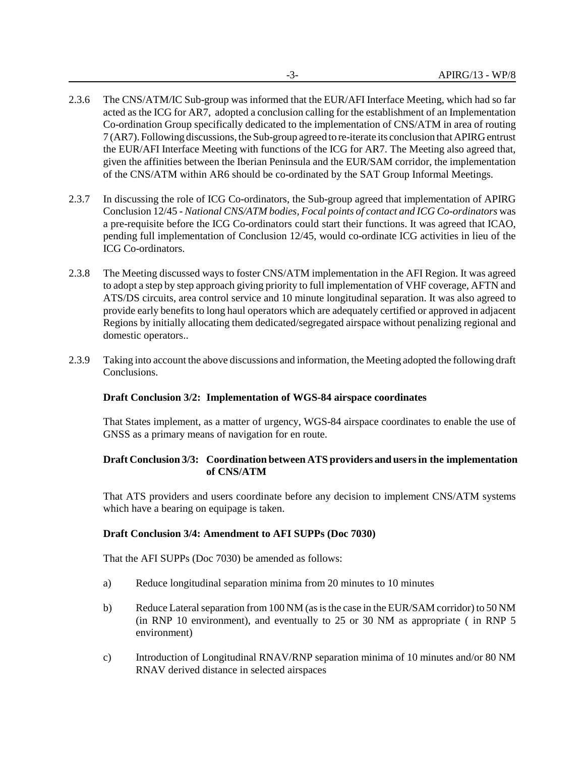- 2.3.6 The CNS/ATM/IC Sub-group was informed that the EUR/AFI Interface Meeting, which had so far acted as the ICG for AR7, adopted a conclusion calling for the establishment of an Implementation Co-ordination Group specifically dedicated to the implementation of CNS/ATM in area of routing 7 (AR7). Following discussions, the Sub-group agreed to re-iterate its conclusion that APIRG entrust the EUR/AFI Interface Meeting with functions of the ICG for AR7. The Meeting also agreed that, given the affinities between the Iberian Peninsula and the EUR/SAM corridor, the implementation of the CNS/ATM within AR6 should be co-ordinated by the SAT Group Informal Meetings.
- 2.3.7 In discussing the role of ICG Co-ordinators, the Sub-group agreed that implementation of APIRG Conclusion 12/45 - *National CNS/ATM bodies, Focal points of contact and ICG Co-ordinators* was a pre-requisite before the ICG Co-ordinators could start their functions. It was agreed that ICAO, pending full implementation of Conclusion 12/45, would co-ordinate ICG activities in lieu of the ICG Co-ordinators.
- 2.3.8 The Meeting discussed ways to foster CNS/ATM implementation in the AFI Region. It was agreed to adopt a step by step approach giving priority to full implementation of VHF coverage, AFTN and ATS/DS circuits, area control service and 10 minute longitudinal separation. It was also agreed to provide early benefits to long haul operators which are adequately certified or approved in adjacent Regions by initially allocating them dedicated/segregated airspace without penalizing regional and domestic operators..
- 2.3.9 Taking into account the above discussions and information, the Meeting adopted the following draft Conclusions.

### **Draft Conclusion 3/2: Implementation of WGS-84 airspace coordinates**

That States implement, as a matter of urgency, WGS-84 airspace coordinates to enable the use of GNSS as a primary means of navigation for en route.

### **Draft Conclusion 3/3: Coordination between ATS providers and users in the implementation of CNS/ATM**

That ATS providers and users coordinate before any decision to implement CNS/ATM systems which have a bearing on equipage is taken.

### **Draft Conclusion 3/4: Amendment to AFI SUPPs (Doc 7030)**

That the AFI SUPPs (Doc 7030) be amended as follows:

- a) Reduce longitudinal separation minima from 20 minutes to 10 minutes
- b) Reduce Lateral separation from 100 NM (as is the case in the EUR/SAM corridor) to 50 NM (in RNP 10 environment), and eventually to 25 or 30 NM as appropriate ( in RNP 5 environment)
- c) Introduction of Longitudinal RNAV/RNP separation minima of 10 minutes and/or 80 NM RNAV derived distance in selected airspaces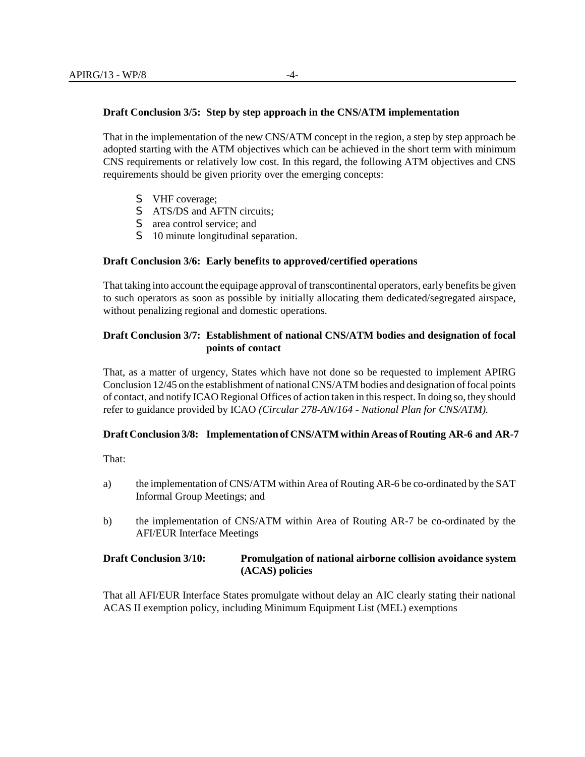#### **Draft Conclusion 3/5: Step by step approach in the CNS/ATM implementation**

That in the implementation of the new CNS/ATM concept in the region, a step by step approach be adopted starting with the ATM objectives which can be achieved in the short term with minimum CNS requirements or relatively low cost. In this regard, the following ATM objectives and CNS requirements should be given priority over the emerging concepts:

- S VHF coverage;
- S ATS/DS and AFTN circuits;
- S area control service; and
- S 10 minute longitudinal separation.

#### **Draft Conclusion 3/6: Early benefits to approved/certified operations**

That taking into account the equipage approval of transcontinental operators, early benefits be given to such operators as soon as possible by initially allocating them dedicated/segregated airspace, without penalizing regional and domestic operations.

#### **Draft Conclusion 3/7: Establishment of national CNS/ATM bodies and designation of focal points of contact**

That, as a matter of urgency, States which have not done so be requested to implement APIRG Conclusion 12/45 on the establishment of national CNS/ATM bodies and designation of focal points of contact, and notify ICAO Regional Offices of action taken in this respect. In doing so, they should refer to guidance provided by ICAO *(Circular 278-AN/164 - National Plan for CNS/ATM).*

#### **Draft Conclusion 3/8: Implementation of CNS/ATM within Areas of Routing AR-6 and AR-7**

That:

- a) the implementation of CNS/ATM within Area of Routing AR-6 be co-ordinated by the SAT Informal Group Meetings; and
- b) the implementation of CNS/ATM within Area of Routing AR-7 be co-ordinated by the AFI/EUR Interface Meetings

### **Draft Conclusion 3/10: Promulgation of national airborne collision avoidance system (ACAS) policies**

That all AFI/EUR Interface States promulgate without delay an AIC clearly stating their national ACAS II exemption policy, including Minimum Equipment List (MEL) exemptions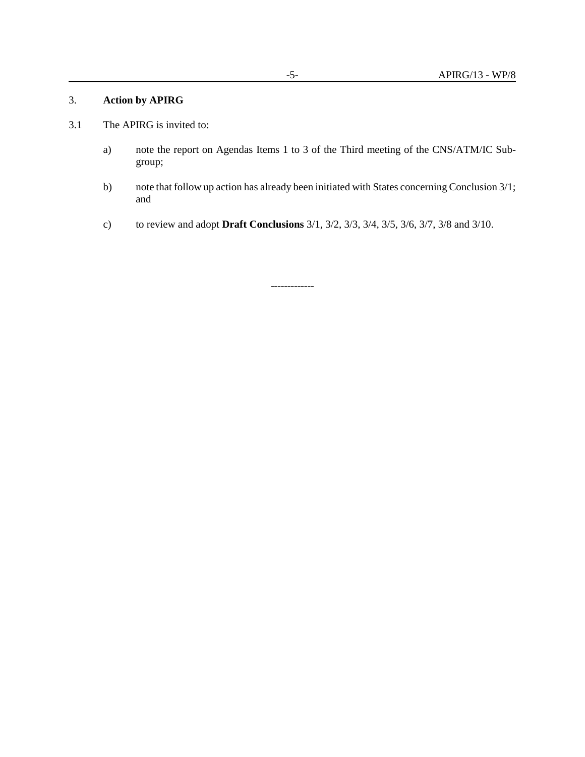#### 3. **Action by APIRG**

- 3.1 The APIRG is invited to:
	- a) note the report on Agendas Items 1 to 3 of the Third meeting of the CNS/ATM/IC Subgroup;
	- b) note that follow up action has already been initiated with States concerning Conclusion 3/1; and
	- c) to review and adopt **Draft Conclusions** 3/1, 3/2, 3/3, 3/4, 3/5, 3/6, 3/7, 3/8 and 3/10.

-------------